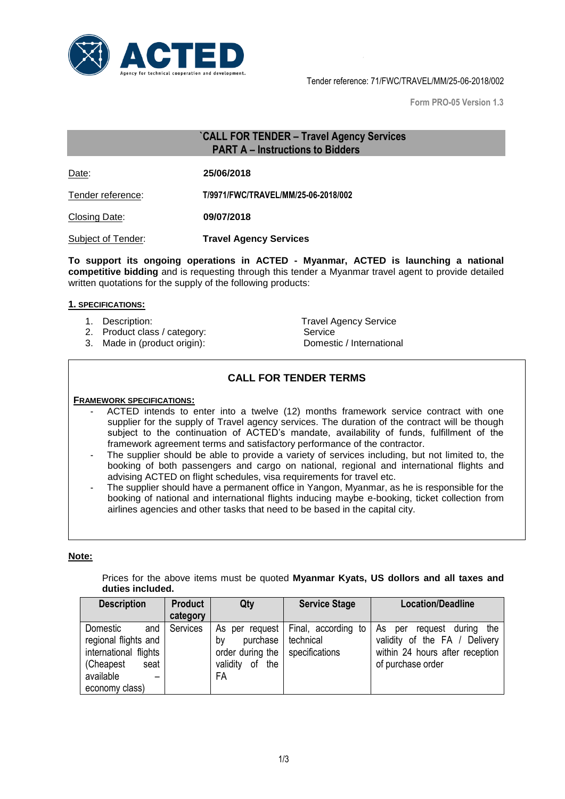

Tender reference: 71/FWC/TRAVEL/MM/25-06-2018/002

**Form PRO-05 Version 1.3**

# **`CALL FOR TENDER – Travel Agency Services PART A – Instructions to Bidders**

Date: **25/06/2018**

Tender reference: **T/9971/FWC/TRAVEL/MM/25-06-2018/002** 

Closing Date: **09/07/2018**

Subject of Tender: **Travel Agency Services**

**To support its ongoing operations in ACTED - Myanmar, ACTED is launching a national competitive bidding** and is requesting through this tender a Myanmar travel agent to provide detailed written quotations for the supply of the following products:

#### **1. SPECIFICATIONS:**

- 
- 2. Product class / category: Service
- 3. Made in (product origin): Domestic / International

1. Description: Travel Agency Service

# **CALL FOR TENDER TERMS**

## **FRAMEWORK SPECIFICATIONS:**

- ACTED intends to enter into a twelve (12) months framework service contract with one supplier for the supply of Travel agency services. The duration of the contract will be though subject to the continuation of ACTED's mandate, availability of funds, fulfillment of the framework agreement terms and satisfactory performance of the contractor.
- The supplier should be able to provide a variety of services including, but not limited to, the booking of both passengers and cargo on national, regional and international flights and advising ACTED on flight schedules, visa requirements for travel etc.
- The supplier should have a permanent office in Yangon, Myanmar, as he is responsible for the booking of national and international flights inducing maybe e-booking, ticket collection from airlines agencies and other tasks that need to be based in the capital city.

## **Note:**

Prices for the above items must be quoted **Myanmar Kyats, US dollors and all taxes and duties included.**

| <b>Description</b>                                                                                  | <b>Product</b> | Qty                                                                              | <b>Service Stage</b>                               | <b>Location/Deadline</b>                                                                                                       |
|-----------------------------------------------------------------------------------------------------|----------------|----------------------------------------------------------------------------------|----------------------------------------------------|--------------------------------------------------------------------------------------------------------------------------------|
|                                                                                                     | category       |                                                                                  |                                                    |                                                                                                                                |
| Domestic<br>and<br>regional flights and<br>international flights<br>(Cheapest)<br>seat<br>available | Services       | As per request<br>purchase<br>b٧<br>order during the<br>of the<br>validity<br>FA | Final, according to<br>technical<br>specifications | the<br>As<br>durina<br>request<br>per<br>validity of the FA / Delivery<br>within 24 hours after reception<br>of purchase order |
| economy class)                                                                                      |                |                                                                                  |                                                    |                                                                                                                                |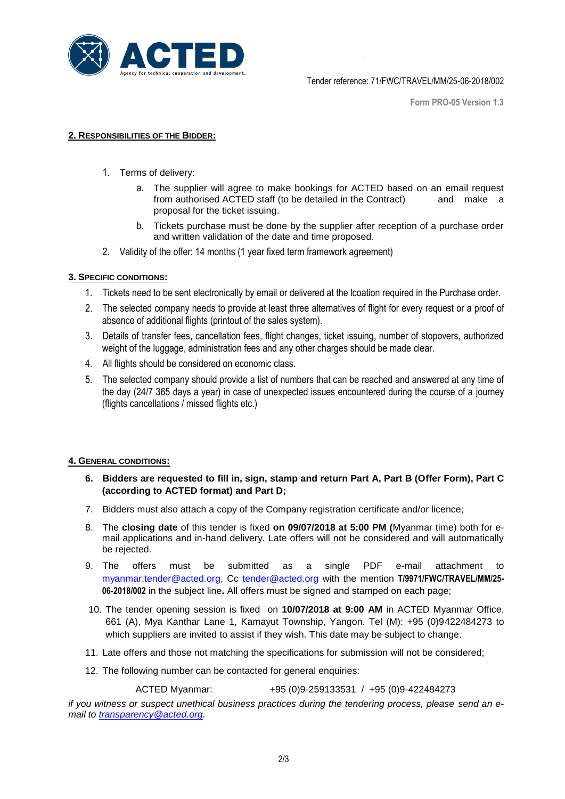

**Form PRO-05 Version 1.3**

## **2. RESPONSIBILITIES OF THE BIDDER:**

- 1. Terms of delivery:
	- a. The supplier will agree to make bookings for ACTED based on an email request from authorised ACTED staff (to be detailed in the Contract) and make a proposal for the ticket issuing.
	- b. Tickets purchase must be done by the supplier after reception of a purchase order and written validation of the date and time proposed.
- 2. Validity of the offer: 14 months (1 year fixed term framework agreement)

### **3. SPECIFIC CONDITIONS:**

- 1. Tickets need to be sent electronically by email or delivered at the lcoation required in the Purchase order.
- 2. The selected company needs to provide at least three alternatives of flight for every request or a proof of absence of additional flights (printout of the sales system).
- 3. Details of transfer fees, cancellation fees, flight changes, ticket issuing, number of stopovers, authorized weight of the luggage, administration fees and any other charges should be made clear.
- 4. All flights should be considered on economic class.
- 5. The selected company should provide a list of numbers that can be reached and answered at any time of the day (24/7 365 days a year) in case of unexpected issues encountered during the course of a journey (flights cancellations / missed flights etc.)

# **4. GENERAL CONDITIONS:**

- **6. Bidders are requested to fill in, sign, stamp and return Part A, Part B (Offer Form), Part C (according to ACTED format) and Part D;**
- 7. Bidders must also attach a copy of the Company registration certificate and/or licence;
- 8. The **closing date** of this tender is fixed **on 09/07/2018 at 5:00 PM (**Myanmar time) both for email applications and in-hand delivery. Late offers will not be considered and will automatically be rejected.
- 9. The offers must be submitted as a single PDF e-mail attachment to [myanmar.tender@acted.org,](mailto:myanmar.tender@acted.org) Cc [tender@acted.org](mailto:tender@acted.org) with the mention **T/9971/FWC/TRAVEL/MM/25- 06-2018/002** in the subject line**.** All offers must be signed and stamped on each page;
- 10. The tender opening session is fixed on **10/07/2018 at 9:00 AM** in ACTED Myanmar Office, 661 (A), Mya Kanthar Lane 1, Kamayut Township, Yangon. Tel (M): +95 (0)9422484273 to which suppliers are invited to assist if they wish. This date may be subject to change.
- 11. Late offers and those not matching the specifications for submission will not be considered;
- 12. The following number can be contacted for general enquiries:

ACTED Myanmar: +95 (0)9-259133531 / +95 (0)9-422484273

*if you witness or suspect unethical business practices during the tendering process, please send an email to [transparency@acted.org.](mailto:transparency@acted.org)*